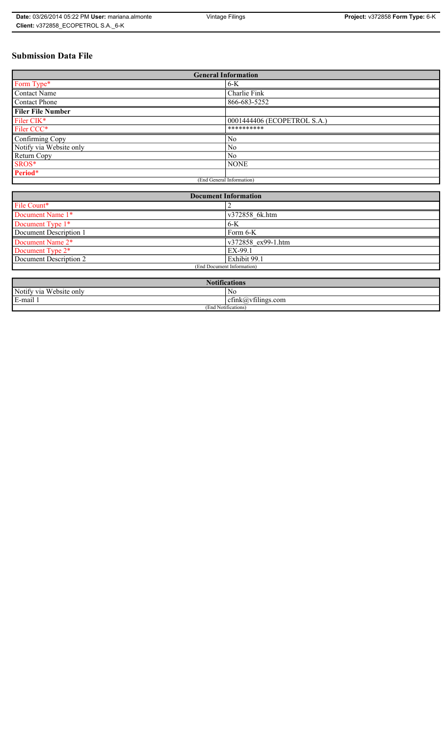# **Submission Data File**

| <b>General Information</b> |                             |  |
|----------------------------|-----------------------------|--|
| Form Type*                 | $6-K$                       |  |
| Contact Name               | Charlie Fink                |  |
| <b>Contact Phone</b>       | 866-683-5252                |  |
| <b>Filer File Number</b>   |                             |  |
| Filer CIK*                 | 0001444406 (ECOPETROL S.A.) |  |
| Filer CCC*                 | **********                  |  |
| Confirming Copy            | N <sub>0</sub>              |  |
| Notify via Website only    | N <sub>0</sub>              |  |
| Return Copy                | No                          |  |
| SROS*                      | <b>NONE</b>                 |  |
| Period*                    |                             |  |
| (End General Information)  |                             |  |

| <b>Document Information</b>  |                    |  |
|------------------------------|--------------------|--|
| File Count*                  |                    |  |
| Document Name 1*             | v372858 6k.htm     |  |
| Document Type 1*             | $6-K$              |  |
| Document Description 1       | Form 6-K           |  |
| Document Name 2 <sup>*</sup> | v372858 ex99-1.htm |  |
| Document Type 2*             | EX-99.1            |  |
| Document Description 2       | Exhibit 99.1       |  |
| (End Document Information)   |                    |  |
|                              |                    |  |

| <b>Notifications</b>       |                                   |  |
|----------------------------|-----------------------------------|--|
| Notify via<br>Website only | N0                                |  |
| E-mail                     | $\sim$ 1.<br>ctink(a)vtilings.com |  |
| (End Notifications)        |                                   |  |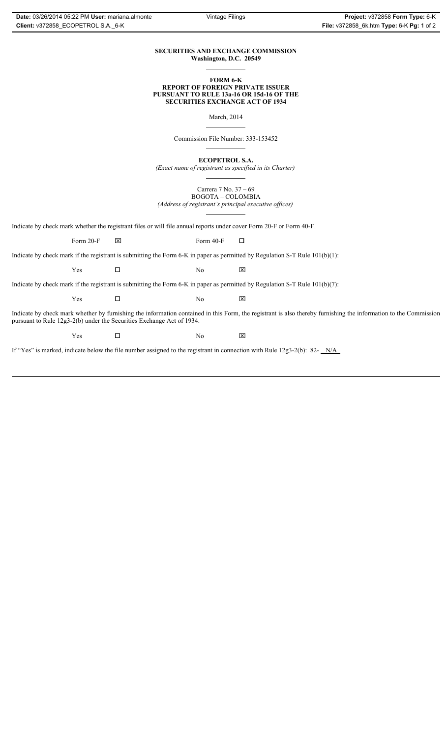### **SECURITIES AND EXCHANGE COMMISSION Washington, D.C. 20549**

#### **FORM 6-K REPORT OF FOREIGN PRIVATE ISSUER PURSUANT TO RULE 13a-16 OR 15d-16 OF THE SECURITIES EXCHANGE ACT OF 1934**

March, 2014

Commission File Number: 333-153452

**ECOPETROL S.A.**

*(Exact name of registrant as specified in its Charter)*

Carrera 7 No. 37 – 69 BOGOTA – COLOMBIA *(Address of registrant's principal executive offices)*

Indicate by check mark whether the registrant files or will file annual reports under cover Form 20-F or Form 40-F.

Form 20-F  $\boxtimes$  Form 40-F  $\Box$ 

Indicate by check mark if the registrant is submitting the Form 6-K in paper as permitted by Regulation S-T Rule 101(b)(1):

 $Yes$   $\Box$  No  $X$ 

Indicate by check mark if the registrant is submitting the Form 6-K in paper as permitted by Regulation S-T Rule 101(b)(7):

 $Yes$   $\Box$  No  $X$ 

Indicate by check mark whether by furnishing the information contained in this Form, the registrant is also thereby furnishing the information to the Commission pursuant to Rule 12g3-2(b) under the Securities Exchange Act of 1934.

 $Yes$   $\Box$  No  $X$ 

If "Yes" is marked, indicate below the file number assigned to the registrant in connection with Rule 12g3-2(b): 82- N/A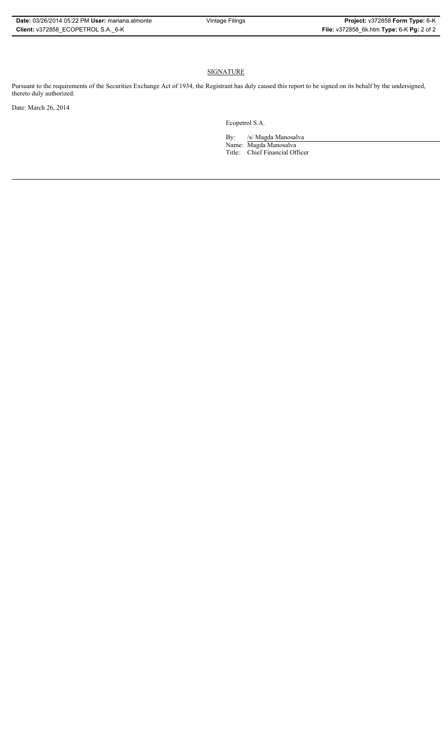# **SIGNATURE**

Pursuant to the requirements of the Securities Exchange Act of 1934, the Registrant has duly caused this report to be signed on its behalf by the undersigned, thereto duly authorized.

Date: March 26, 2014

Ecopetrol S.A.

By: /s/ Magda Manosalva Name: Magda Manosalva Title: Chief Financial Officer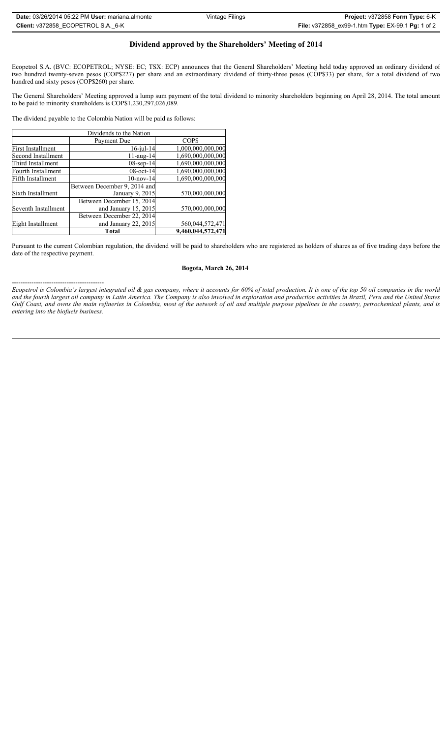# **Dividend approved by the Shareholders' Meeting of 2014**

Ecopetrol S.A. (BVC: ECOPETROL; NYSE: EC; TSX: ECP) announces that the General Shareholders' Meeting held today approved an ordinary dividend of two hundred twenty-seven pesos (COP\$227) per share and an extraordinary dividend of thirty-three pesos (COP\$33) per share, for a total dividend of two hundred and sixty pesos (COP\$260) per share.

The General Shareholders' Meeting approved a lump sum payment of the total dividend to minority shareholders beginning on April 28, 2014. The total amount to be paid to minority shareholders is COP\$1,230,297,026,089.

The dividend payable to the Colombia Nation will be paid as follows:

------------------------------------------

| Dividends to the Nation |                              |                   |
|-------------------------|------------------------------|-------------------|
|                         | Payment Due                  | COP\$             |
| First Installment       | $16$ -jul- $14$              | 1,000,000,000,000 |
| Second Installment      | $11$ -aug- $14$              | 1,690,000,000,000 |
| Third Installment       | $08$ -sep-14                 | 1,690,000,000,000 |
| Fourth Installment      | $08$ -oct- $14$              | 1,690,000,000,000 |
| Fifth Installment       | $10$ -nov- $14$              | 1,690,000,000,000 |
|                         | Between December 9, 2014 and |                   |
| Sixth Installment       | January 9, 2015              | 570,000,000,000   |
|                         | Between December 15, 2014    |                   |
| Seventh Installment     | and January 15, 2015         | 570,000,000,000   |
|                         | Between December 22, 2014    |                   |
| Eight Installment       | and January 22, 2015         | 560,044,572,471   |
|                         | <b>Total</b>                 | 9,460,044,572,471 |

Pursuant to the current Colombian regulation, the dividend will be paid to shareholders who are registered as holders of shares as of five trading days before the date of the respective payment.

## **Bogota, March 26, 2014**

*Ecopetrol is Colombia's largest integrated oil & gas company, where it accounts for 60% of total production. It is one of the top 50 oil companies in the world and the fourth largest oil company in Latin America. The Company is also involved in exploration and production activities in Brazil, Peru and the United States Gulf Coast, and owns the main refineries in Colombia, most of the network of oil and multiple purpose pipelines in the country, petrochemical plants, and is entering into the biofuels business.*